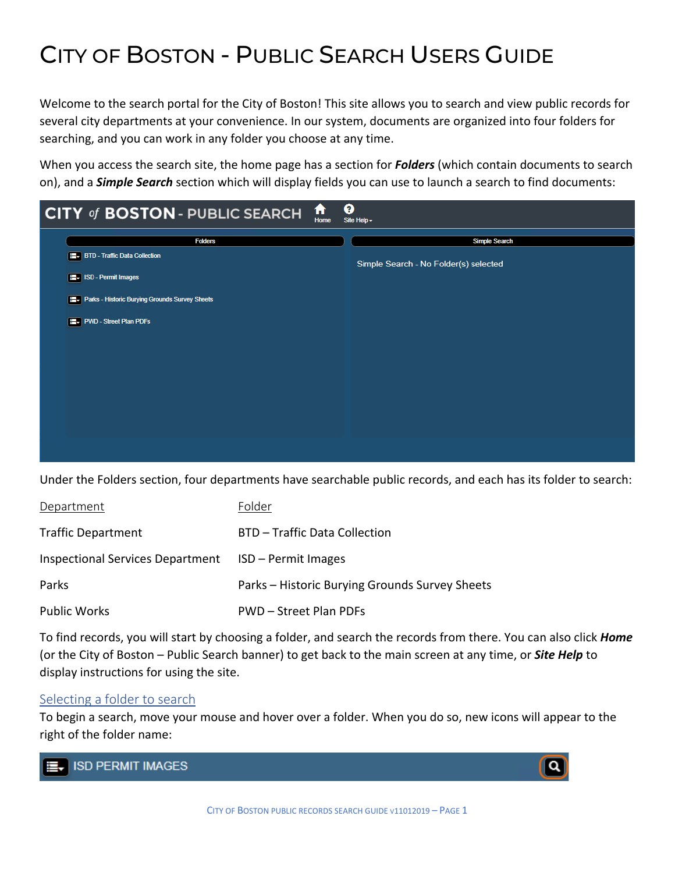# CITY OF BOSTON - PUBLIC SEARCH USERS GUIDE

Welcome to the search portal for the City of Boston! This site allows you to search and view public records for several city departments at your convenience. In our system, documents are organized into four folders for searching, and you can work in any folder you choose at any time.

When you access the search site, the home page has a section for *Folders* (which contain documents to search on), and a *Simple Search* section which will display fields you can use to launch a search to find documents:

| ft<br><b>CITY of BOSTON - PUBLIC SEARCH</b><br>Home | ፅ<br>Site Help -                      |
|-----------------------------------------------------|---------------------------------------|
| <b>Folders</b>                                      | <b>Simple Search</b>                  |
| <b>BTD</b> - Traffic Data Collection                | Simple Search - No Folder(s) selected |
| ISD - Permit Images                                 |                                       |
| Parks - Historic Burying Grounds Survey Sheets      |                                       |
| PWD - Street Plan PDFs                              |                                       |
|                                                     |                                       |
|                                                     |                                       |
|                                                     |                                       |
|                                                     |                                       |
|                                                     |                                       |
|                                                     |                                       |
|                                                     |                                       |

Under the Folders section, four departments have searchable public records, and each has its folder to search:

| Department                              | Folder                                         |
|-----------------------------------------|------------------------------------------------|
| <b>Traffic Department</b>               | BTD - Traffic Data Collection                  |
| <b>Inspectional Services Department</b> | ISD – Permit Images                            |
| Parks                                   | Parks – Historic Burying Grounds Survey Sheets |
| <b>Public Works</b>                     | PWD – Street Plan PDFs                         |

To find records, you will start by choosing a folder, and search the records from there. You can also click *Home* (or the City of Boston – Public Search banner) to get back to the main screen at any time, or *Site Help* to display instructions for using the site.

### Selecting a folder to search

To begin a search, move your mouse and hover over a folder. When you do so, new icons will appear to the right of the folder name:



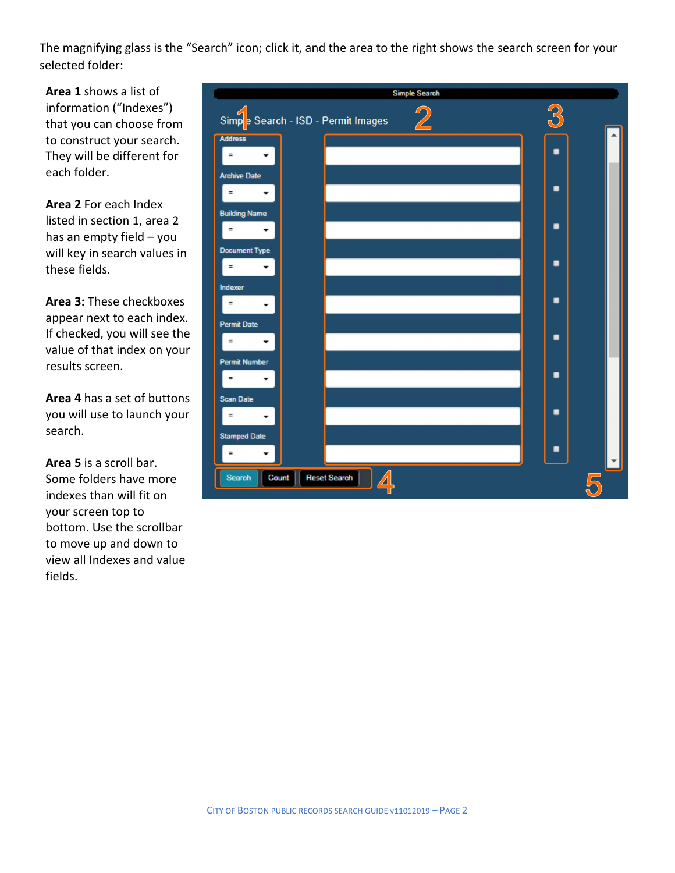The magnifying glass is the "Search" icon; click it, and the area to the right shows the search screen for your selected folder:

**Area 1** shows a list of information ("Indexes") that you can choose from to construct your search. They will be different for each folder.

**Area 2** For each Index listed in section 1, area 2 has an empty field – you will key in search values in these fields.

**Area 3:** These checkboxes appear next to each index. If checked, you will see the value of that index on your results screen.

**Area 4** has a set of buttons you will use to launch your search.

**Area 5** is a scroll bar. Some folders have more indexes than will fit on your screen top to bottom. Use the scrollbar to move up and down to view all Indexes and value fields.

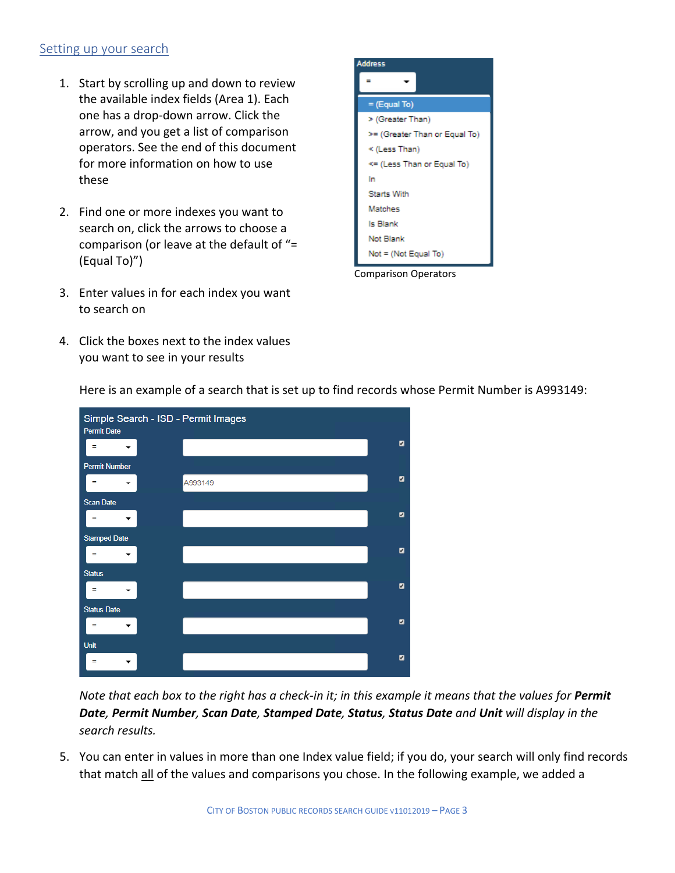#### Setting up your search

- 1. Start by scrolling up and down to review the available index fields (Area 1). Each one has a drop-down arrow. Click the arrow, and you get a list of comparison operators. See the end of this document for more information on how to use these
- 2. Find one or more indexes you want to search on, click the arrows to choose a comparison (or leave at the default of "= (Equal To)")
- 3. Enter values in for each index you want to search on
- 4. Click the boxes next to the index values you want to see in your results



Comparison Operators



Here is an example of a search that is set up to find records whose Permit Number is A993149:

*Note that each box to the right has a check-in it; in this example it means that the values for Permit Date, Permit Number, Scan Date, Stamped Date, Status, Status Date and Unit will display in the search results.*

5. You can enter in values in more than one Index value field; if you do, your search will only find records that match all of the values and comparisons you chose. In the following example, we added a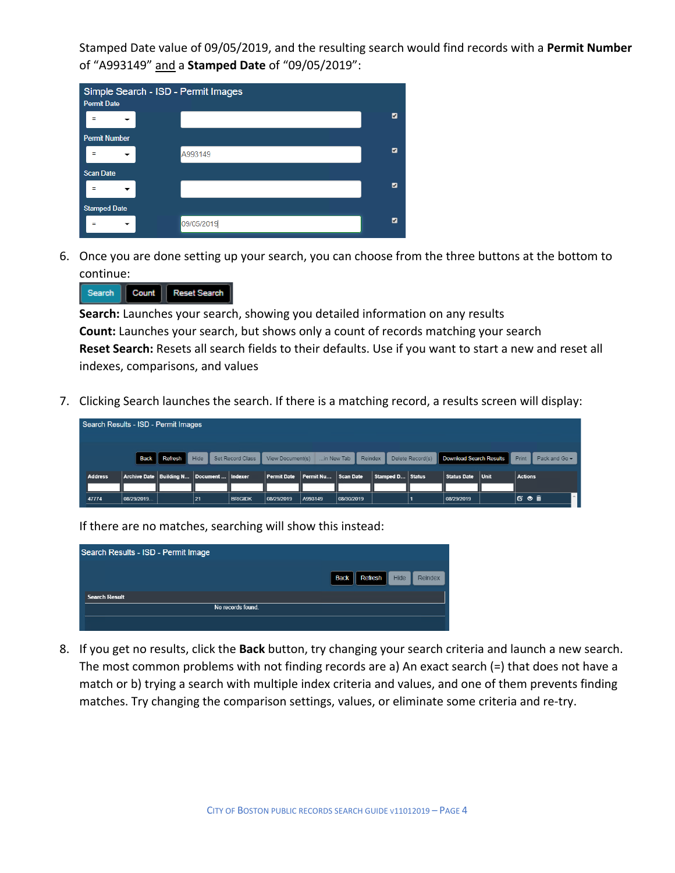Stamped Date value of 09/05/2019, and the resulting search would find records with a **Permit Number**  of "A993149" and a **Stamped Date** of "09/05/2019":

| <b>Permit Date</b>   |                          | Simple Search - ISD - Permit Images |                |
|----------------------|--------------------------|-------------------------------------|----------------|
|                      | -                        |                                     | $\overline{a}$ |
| <b>Permit Number</b> |                          |                                     |                |
| Ξ                    | $\overline{\phantom{a}}$ | A993149                             | ø              |
| <b>Scan Date</b>     |                          |                                     |                |
| Ξ                    | ▼                        |                                     | ø              |
| <b>Stamped Date</b>  |                          |                                     |                |
|                      |                          | 09/05/2019                          | ø              |

6. Once you are done setting up your search, you can choose from the three buttons at the bottom to continue:

| Reset Search<br>Count<br>Search |
|---------------------------------|
|                                 |

**Search:** Launches your search, showing you detailed information on any results **Count:** Launches your search, but shows only a count of records matching your search **Reset Search:** Resets all search fields to their defaults. Use if you want to start a new and reset all indexes, comparisons, and values

7. Clicking Search launches the search. If there is a matching record, a results screen will display:

| Search Results - ISD - Permit Images                                                                                                             |            |  |                                                 |                |                    |           |            |  |                  |               |             |      |                |  |
|--------------------------------------------------------------------------------------------------------------------------------------------------|------------|--|-------------------------------------------------|----------------|--------------------|-----------|------------|--|------------------|---------------|-------------|------|----------------|--|
| Refresh   <br>Hide<br>Delete Record(s) Download Search Results<br>Back<br>Set Record Class<br>Reindex<br>Print<br>View Document(s)<br>in New Tab |            |  |                                                 |                |                    |           |            |  |                  | Pack and Go - |             |      |                |  |
| <b>Address</b>                                                                                                                                   |            |  | Archive Date   Building N   Document    Indexer |                | <b>Permit Date</b> | Permit Nu | Scan Date  |  | Stamped D Status |               | Status Date | Unit | <b>Actions</b> |  |
| 47774                                                                                                                                            | 08/29/2019 |  | 21                                              | <b>BRIGIDK</b> | 08/29/2019         | A993149   | 08/30/2019 |  |                  |               | 08/29/2019  |      | C' ← m̃        |  |

If there are no matches, searching will show this instead:

| Search Results - ISD - Permit Image |                                                         |
|-------------------------------------|---------------------------------------------------------|
|                                     | <b>Hide</b><br>Reindex<br><b>Refresh</b><br><b>Back</b> |
| <b>Search Result</b>                |                                                         |
| No records found.                   |                                                         |
|                                     |                                                         |

8. If you get no results, click the **Back** button, try changing your search criteria and launch a new search. The most common problems with not finding records are a) An exact search (=) that does not have a match or b) trying a search with multiple index criteria and values, and one of them prevents finding matches. Try changing the comparison settings, values, or eliminate some criteria and re-try.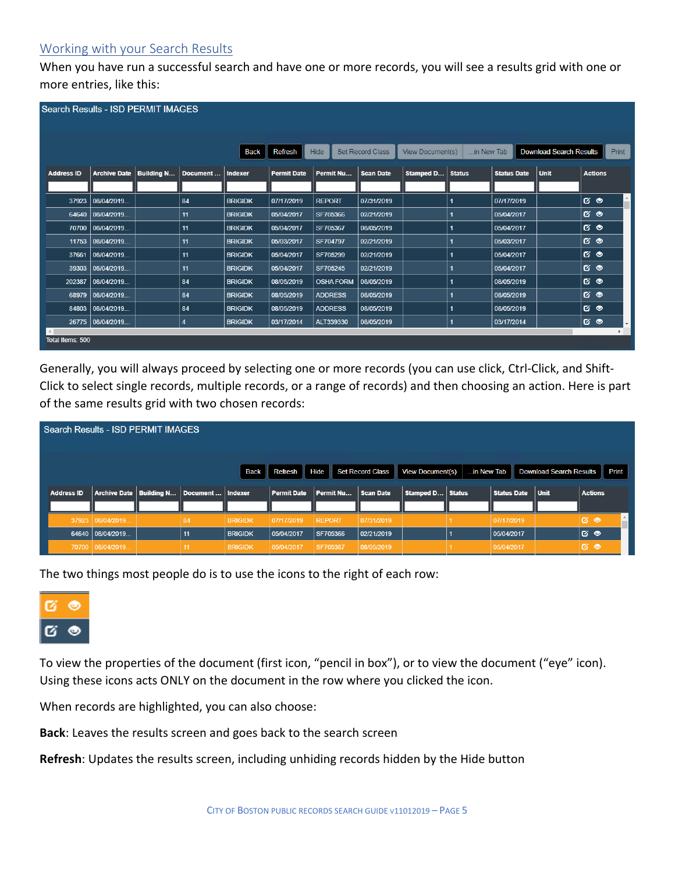## Working with your Search Results

When you have run a successful search and have one or more records, you will see a results grid with one or more entries, like this:

| <b>Search Results - ISD PERMIT IMAGES</b>  |                     |                   |                |                |                    |                  |                  |                  |                      |                    |                                |                |                          |
|--------------------------------------------|---------------------|-------------------|----------------|----------------|--------------------|------------------|------------------|------------------|----------------------|--------------------|--------------------------------|----------------|--------------------------|
|                                            |                     |                   |                |                |                    |                  |                  |                  |                      |                    |                                |                |                          |
|                                            |                     |                   |                |                |                    |                  |                  |                  |                      |                    |                                |                |                          |
|                                            |                     |                   |                |                |                    |                  |                  |                  |                      |                    |                                |                |                          |
|                                            |                     |                   |                | <b>Back</b>    | <b>Refresh</b>     | Hide             | Set Record Class | View Document(s) | in New Tab           |                    | <b>Download Search Results</b> |                | Print                    |
| <b>Address ID</b>                          | <b>Archive Date</b> | <b>Building N</b> | Document       | Indexer        | <b>Permit Date</b> | Permit Nu        | <b>Scan Date</b> | Stamped D        | <b>Status</b>        | <b>Status Date</b> | <b>Unit</b>                    | <b>Actions</b> |                          |
|                                            |                     |                   |                |                |                    |                  |                  |                  |                      |                    |                                |                |                          |
| 37923                                      | 08/04/2019          |                   | 84             | <b>BRIGIDK</b> | 07/17/2019         | <b>REPORT</b>    | 07/31/2019       |                  |                      | 07/17/2019         |                                | $G$ $\bullet$  | $\hat{=}$                |
| 64640                                      | 08/04/2019          |                   | 11             | <b>BRIGIDK</b> | 05/04/2017         | SF705366         | 02/21/2019       |                  |                      | 05/04/2017         |                                | $6^{\circ}$    |                          |
| 70700                                      | 08/04/2019          |                   | 11             | <b>BRIGIDK</b> | 05/04/2017         | SF705367         | 08/05/2019       |                  |                      | 05/04/2017         |                                | $G$ $\bullet$  |                          |
| 11753                                      | 08/04/2019          |                   | 11             | <b>BRIGIDK</b> | 05/03/2017         | SF704797         | 02/21/2019       |                  |                      | 05/03/2017         |                                | 6 <sup>o</sup> |                          |
| 37661                                      | 08/04/2019          |                   | 11             | <b>BRIGIDK</b> | 05/04/2017         | SF705299         | 02/21/2019       |                  |                      | 05/04/2017         |                                | $G$ $\bullet$  |                          |
| 39303                                      | 08/04/2019          |                   | 11             | <b>BRIGIDK</b> | 05/04/2017         | SF705245         | 02/21/2019       |                  |                      | 05/04/2017         |                                | $6^{\circ}$    |                          |
| 202387                                     | 08/04/2019          |                   | 84             | <b>BRIGIDK</b> | 08/05/2019         | <b>OSHA FORM</b> | 08/05/2019       |                  | $\blacktriangleleft$ | 08/05/2019         |                                | 6 <sup>o</sup> |                          |
| 68979                                      | 08/04/2019          |                   | 84             | <b>BRIGIDK</b> | 08/05/2019         | <b>ADDRESS</b>   | 08/05/2019       |                  |                      | 08/05/2019         |                                | $G$ $\bullet$  |                          |
| 84803                                      | 08/04/2019          |                   | 84             | <b>BRIGIDK</b> | 08/05/2019         | <b>ADDRESS</b>   | 08/05/2019       |                  |                      | 08/05/2019         |                                | 6 <sup>o</sup> |                          |
|                                            | 26775   08/04/2019  |                   | $\overline{4}$ | <b>BRIGIDK</b> | 03/17/2014         | ALT339330        | 08/05/2019       |                  |                      | 03/17/2014         |                                | ේ ම            | $\overline{\phantom{a}}$ |
| $\left  \cdot \right $<br>Total Items: 500 |                     |                   |                |                |                    |                  |                  |                  |                      |                    |                                |                |                          |
|                                            |                     |                   |                |                |                    |                  |                  |                  |                      |                    |                                |                |                          |

Generally, you will always proceed by selecting one or more records (you can use click, Ctrl-Click, and Shift-Click to select single records, multiple records, or a range of records) and then choosing an action. Here is part of the same results grid with two chosen records:

| Search Results - ISD PERMIT IMAGES |                                      |  |                                                 |                                  |                          |                           |                          |                         |            |                          |                                |                    |
|------------------------------------|--------------------------------------|--|-------------------------------------------------|----------------------------------|--------------------------|---------------------------|--------------------------|-------------------------|------------|--------------------------|--------------------------------|--------------------|
|                                    |                                      |  |                                                 | Back                             | Refresh Hide             |                           | <b>Set Record Class</b>  | <b>View Document(s)</b> | in New Tab |                          | <b>Download Search Results</b> | Print              |
| <b>Address ID</b>                  |                                      |  | Archive Date   Building N   Document    Indexer |                                  | <b>Permit Date</b>       | Permit Nu                 | Scan Date                | Stamped D   Status      |            | <b>Status Date</b>       | <b>Unit</b>                    | <b>Actions</b>     |
|                                    | 37923 08/04/2019<br>64640 08/04/2019 |  | 84<br>11                                        | <b>BRIGIDK</b><br><b>BRIGIDK</b> | 07/17/2019<br>05/04/2017 | <b>REPORT</b><br>SF705366 | 07/31/2019<br>02/21/2019 |                         |            | 07/17/2019<br>05/04/2017 |                                | <b>130</b><br>।ಡ ⊜ |
|                                    | 70700 08/04/2019                     |  |                                                 | <b>BRIGIDK</b>                   | 05/04/2017               | SF705367                  | 08/05/2019               |                         |            | 05/04/2017               |                                | <b>&amp; ම</b>     |

The two things most people do is to use the icons to the right of each row:



To view the properties of the document (first icon, "pencil in box"), or to view the document ("eye" icon). Using these icons acts ONLY on the document in the row where you clicked the icon.

When records are highlighted, you can also choose:

**Back**: Leaves the results screen and goes back to the search screen

**Refresh**: Updates the results screen, including unhiding records hidden by the Hide button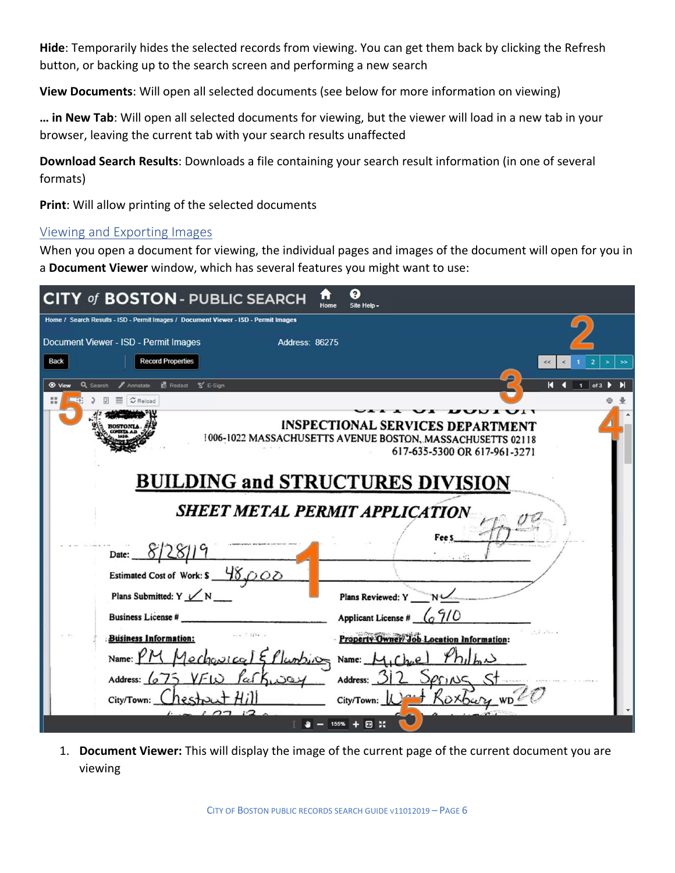**Hide**: Temporarily hides the selected records from viewing. You can get them back by clicking the Refresh button, or backing up to the search screen and performing a new search

**View Documents**: Will open all selected documents (see below for more information on viewing)

**… in New Tab**: Will open all selected documents for viewing, but the viewer will load in a new tab in your browser, leaving the current tab with your search results unaffected

**Download Search Results**: Downloads a file containing your search result information (in one of several formats)

**Print**: Will allow printing of the selected documents

#### Viewing and Exporting Images

When you open a document for viewing, the individual pages and images of the document will open for you in a **Document Viewer** window, which has several features you might want to use:

| <b>CITY of BOSTON-PUBLIC SEARCH</b>                                                 | a<br>Home<br>Site Help -                                                                              |           |
|-------------------------------------------------------------------------------------|-------------------------------------------------------------------------------------------------------|-----------|
| Home / Search Results - ISD - Permit Images / Document Viewer - ISD - Permit Images |                                                                                                       |           |
| Document Viewer - ISD - Permit Images<br><b>Address: 86275</b>                      |                                                                                                       |           |
| <b>Record Properties</b><br><b>Back</b>                                             |                                                                                                       | $\gg$     |
| <b>B</b> Redact<br>$S$ E-Sign<br><b>⊙</b> View<br>Q Search<br>Annotate              |                                                                                                       | К<br>of 3 |
| Reload                                                                              |                                                                                                       |           |
|                                                                                     |                                                                                                       |           |
|                                                                                     | <b>INSPECTIONAL SERVICES DEPARTMENT</b><br>1006-1022 MASSACHUSETTS AVENUE BOSTON, MASSACHUSETTS 02118 |           |
|                                                                                     | 617-635-5300 OR 617-961-3271                                                                          |           |
|                                                                                     |                                                                                                       |           |
|                                                                                     | <b>BUILDING and STRUCTURES DIVISION</b>                                                               |           |
|                                                                                     |                                                                                                       |           |
|                                                                                     | <b>SHEET METAL PERMIT APPLICATION</b>                                                                 |           |
|                                                                                     |                                                                                                       |           |
| Date:                                                                               |                                                                                                       |           |
| Estimated Cost of Work: \$48,000                                                    |                                                                                                       |           |
| Plans Submitted: Y $\angle N$                                                       | Plans Reviewed: Y                                                                                     |           |
| <b>Business License #</b>                                                           | Applicant License #                                                                                   |           |
| $-111$<br><b>Business Information:</b>                                              | <b>Property Owner/ Job Location Information:</b>                                                      |           |
| Name:<br>lumbin                                                                     | Name:                                                                                                 |           |
| Address: $\sqrt{a}$                                                                 | Address:                                                                                              |           |
| City/Town:                                                                          | City/Town: M<br>Oxbury                                                                                |           |
|                                                                                     | <b>DH</b>                                                                                             |           |
|                                                                                     |                                                                                                       |           |

1. **Document Viewer:** This will display the image of the current page of the current document you are viewing